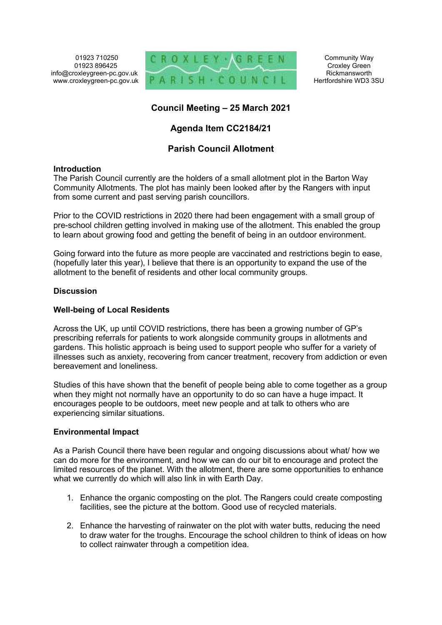01923 710250 01923 896425 info@croxleygreen-pc.gov.uk www.croxleygreen-pc.gov.uk



Community Way Croxley Green Rickmansworth Hertfordshire WD3 3SU

# **Council Meeting – 25 March 2021**

# **Agenda Item CC2184/21**

# **Parish Council Allotment**

### **Introduction**

The Parish Council currently are the holders of a small allotment plot in the Barton Way Community Allotments. The plot has mainly been looked after by the Rangers with input from some current and past serving parish councillors.

Prior to the COVID restrictions in 2020 there had been engagement with a small group of pre-school children getting involved in making use of the allotment. This enabled the group to learn about growing food and getting the benefit of being in an outdoor environment.

Going forward into the future as more people are vaccinated and restrictions begin to ease, (hopefully later this year), I believe that there is an opportunity to expand the use of the allotment to the benefit of residents and other local community groups.

## **Discussion**

### **Well-being of Local Residents**

Across the UK, up until COVID restrictions, there has been a growing number of GP's prescribing referrals for patients to work alongside community groups in allotments and gardens. This holistic approach is being used to support people who suffer for a variety of illnesses such as anxiety, recovering from cancer treatment, recovery from addiction or even bereavement and loneliness.

Studies of this have shown that the benefit of people being able to come together as a group when they might not normally have an opportunity to do so can have a huge impact. It encourages people to be outdoors, meet new people and at talk to others who are experiencing similar situations.

## **Environmental Impact**

As a Parish Council there have been regular and ongoing discussions about what/ how we can do more for the environment, and how we can do our bit to encourage and protect the limited resources of the planet. With the allotment, there are some opportunities to enhance what we currently do which will also link in with Earth Day.

- 1. Enhance the organic composting on the plot. The Rangers could create composting facilities, see the picture at the bottom. Good use of recycled materials.
- 2. Enhance the harvesting of rainwater on the plot with water butts, reducing the need to draw water for the troughs. Encourage the school children to think of ideas on how to collect rainwater through a competition idea.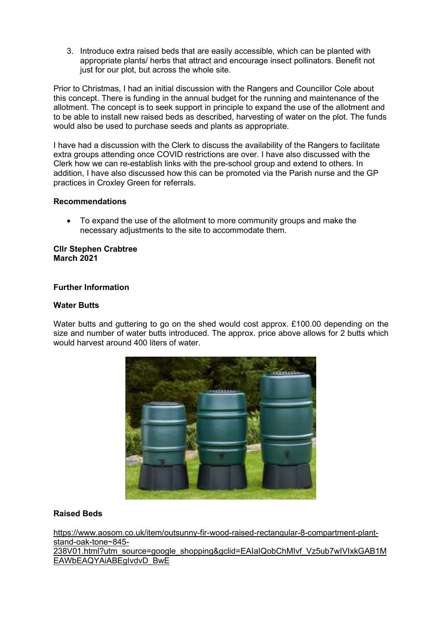3. Introduce extra raised beds that are easily accessible, which can be planted with appropriate plants/ herbs that attract and encourage insect pollinators. Benefit not just for our plot, but across the whole site.

Prior to Christmas, I had an initial discussion with the Rangers and Councillor Cole about this concept. There is funding in the annual budget for the running and maintenance of the allotment. The concept is to seek support in principle to expand the use of the allotment and to be able to install new raised beds as described, harvesting of water on the plot. The funds would also be used to purchase seeds and plants as appropriate.

I have had a discussion with the Clerk to discuss the availability of the Rangers to facilitate extra groups attending once COVID restrictions are over. I have also discussed with the Clerk how we can re-establish links with the pre-school group and extend to others. In addition, I have also discussed how this can be promoted via the Parish nurse and the GP practices in Croxley Green for referrals.

## **Recommendations**

 To expand the use of the allotment to more community groups and make the necessary adjustments to the site to accommodate them.

#### **Cllr Stephen Crabtree March 2021**

### **Further Information**

### **Water Butts**

Water butts and guttering to go on the shed would cost approx. £100.00 depending on the size and number of water butts introduced. The approx. price above allows for 2 butts which would harvest around 400 liters of water.



## **Raised Beds**

https://www.aosom.co.uk/item/outsunny-fir-wood-raised-rectangular-8-compartment-plantstand-oak-tone~845- 238V01.html?utm\_source=google\_shopping&gclid=EAIaIQobChMIvf\_Vz5ub7wIVIxkGAB1M EAWbEAQYAiABEgIvdvD\_BwE